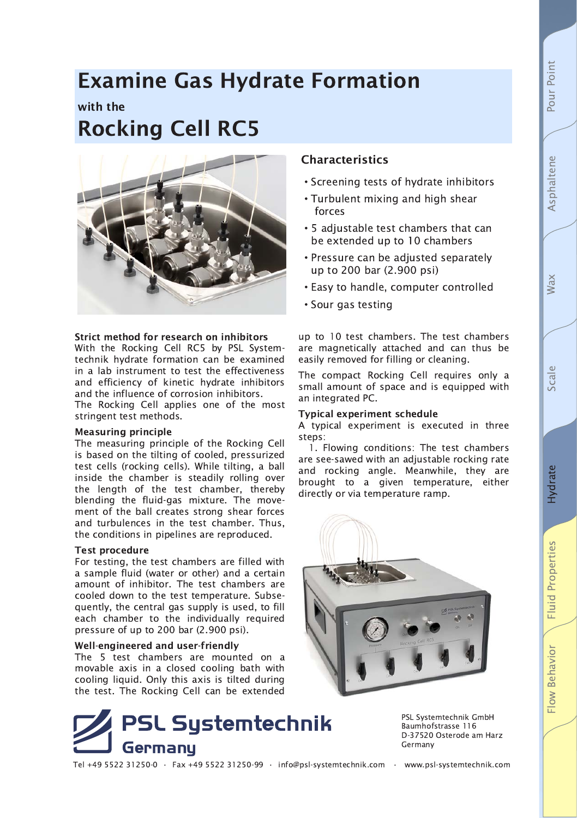# **Wax**

## **Examine Gas Hydrate Formation**

### with the **Rocking Cell RC5**



#### Strict method for research on inhibitors

With the Rocking Cell RC5 by PSL Systemtechnik hydrate formation can be examined in a lab instrument to test the effectiveness and efficiency of kinetic hydrate inhibitors and the influence of corrosion inhibitors.

The Rocking Cell applies one of the most stringent test methods.

#### **Measuring principle**

The measuring principle of the Rocking Cell is based on the tilting of cooled, pressurized test cells (rocking cells). While tilting, a ball inside the chamber is steadily rolling over the length of the test chamber, thereby blending the fluid-gas mixture. The movement of the ball creates strong shear forces and turbulences in the test chamber. Thus, the conditions in pipelines are reproduced.

#### **Test procedure**

For testing, the test chambers are filled with a sample fluid (water or other) and a certain amount of inhibitor. The test chambers are cooled down to the test temperature. Subsequently, the central gas supply is used, to fill each chamber to the individually required pressure of up to 200 bar (2.900 psi).

#### Well-engineered and user-friendly

The 5 test chambers are mounted on a movable axis in a closed cooling bath with cooling liquid. Only this axis is tilted during the test. The Rocking Cell can be extended



PSL Systemtechnik GmbH Baumhofstrasse 116 D-37520 Osterode am Harz Germany

Tel +49 5522 31250-0 · Fax +49 5522 31250-99 · info@psl-systemtechnik.com · www.psl-systemtechnik.com

**Characteristics** 

- Screening tests of hydrate inhibitors
- Turbulent mixing and high shear forces
- 5 adjustable test chambers that can be extended up to 10 chambers
- Pressure can be adjusted separately up to 200 bar (2.900 psi)
- Easy to handle, computer controlled
- Sour gas testing

up to 10 test chambers. The test chambers are magnetically attached and can thus be easily removed for filling or cleaning.

The compact Rocking Cell requires only a small amount of space and is equipped with an integrated PC.

#### **Typical experiment schedule**

A typical experiment is executed in three steps:

1. Flowing conditions: The test chambers are see-sawed with an adjustable rocking rate and rocking angle. Meanwhile, they are brought to a given temperature, either directly or via temperature ramp.